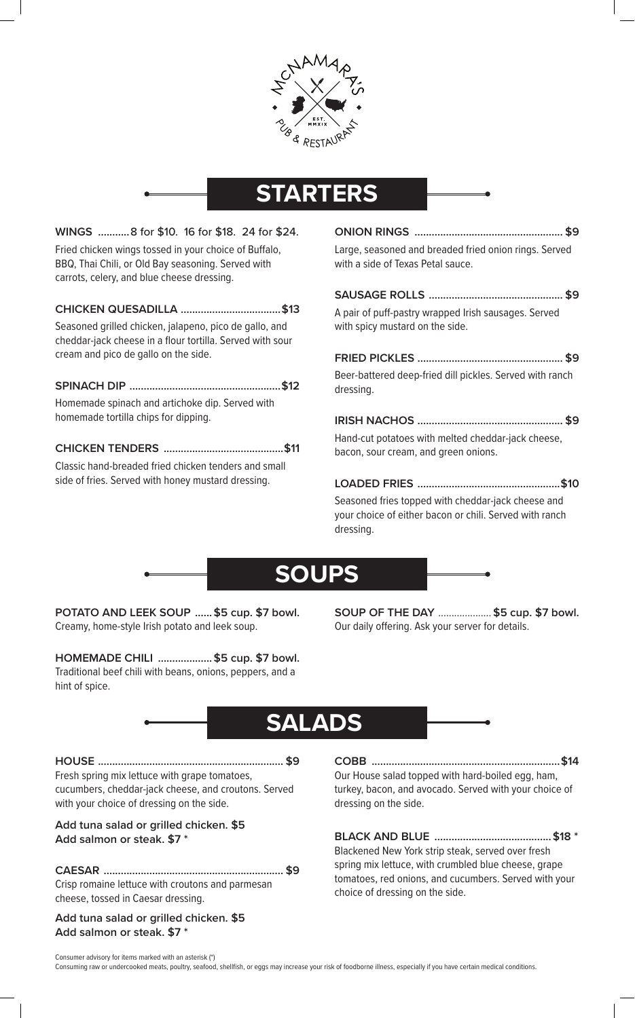

## **STARTERS**

| WINGS 8 for \$10. 16 for \$18. 24 for \$24.           |  |
|-------------------------------------------------------|--|
| Fried chicken wings tossed in your choice of Buffalo, |  |
| BBQ, Thai Chili, or Old Bay seasoning. Served with    |  |
| carrots, celery, and blue cheese dressing.            |  |

#### **CHICKEN QUESADILLA ...................................\$13**

Seasoned grilled chicken, jalapeno, pico de gallo, and cheddar-jack cheese in a flour tortilla. Served with sour cream and pico de gallo on the side.

**SPINACH DIP .....................................................\$12** Homemade spinach and artichoke dip. Served with homemade tortilla chips for dipping.

#### **CHICKEN TENDERS ..........................................\$11**

Classic hand-breaded fried chicken tenders and small side of fries. Served with honey mustard dressing.

**ONION RINGS .................................................... \$9** Large, seasoned and breaded fried onion rings. Served with a side of Texas Petal sauce.

**SAUSAGE ROLLS ............................................... \$9** A pair of puff-pastry wrapped Irish sausages. Served with spicy mustard on the side.

**FRIED PICKLES ................................................... \$9** Beer-battered deep-fried dill pickles. Served with ranch dressing.

**IRISH NACHOS ................................................... \$9** Hand-cut potatoes with melted cheddar-jack cheese, bacon, sour cream, and green onions.

**LOADED FRIES ..................................................\$10** Seasoned fries topped with cheddar-jack cheese and your choice of either bacon or chili. Served with ranch dressing.



**POTATO AND LEEK SOUP ......\$5 cup. \$7 bowl.** Creamy, home-style Irish potato and leek soup.

**HOMEMADE CHILI ...................\$5 cup. \$7 bowl.** Traditional beef chili with beans, onions, peppers, and a hint of spice.

**SOUP OF THE DAY** .................... **\$5 cup. \$7 bowl.** Our daily offering. Ask your server for details.

### **SALADS**

**HOUSE ................................................................. \$9** Fresh spring mix lettuce with grape tomatoes, cucumbers, cheddar-jack cheese, and croutons. Served with your choice of dressing on the side.

**Add tuna salad or grilled chicken. \$5 Add salmon or steak. \$7 \***

**CAESAR ............................................................... \$9** Crisp romaine lettuce with croutons and parmesan cheese, tossed in Caesar dressing.

**Add tuna salad or grilled chicken. \$5 Add salmon or steak. \$7 \***

**COBB ..................................................................\$14** Our House salad topped with hard-boiled egg, ham, turkey, bacon, and avocado. Served with your choice of dressing on the side.

**BLACK AND BLUE .........................................\$18 \***

Blackened New York strip steak, served over fresh spring mix lettuce, with crumbled blue cheese, grape tomatoes, red onions, and cucumbers. Served with your choice of dressing on the side.

Consumer advisory for items marked with an asterisk (\*) Consuming raw or undercooked meats, poultry, seafood, shellfish, or eggs may increase your risk of foodborne illness, especially if you have certain medical conditions.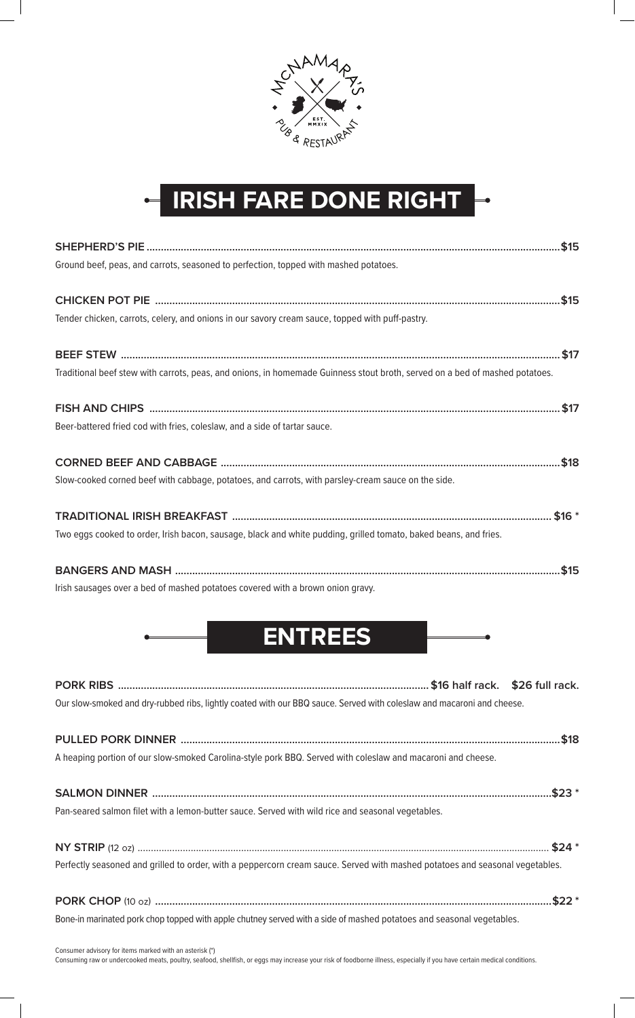

# **IRISH FARE DONE RIGHT**

| Ground beef, peas, and carrots, seasoned to perfection, topped with mashed potatoes.                                        |
|-----------------------------------------------------------------------------------------------------------------------------|
|                                                                                                                             |
| Tender chicken, carrots, celery, and onions in our savory cream sauce, topped with puff-pastry.                             |
|                                                                                                                             |
| Traditional beef stew with carrots, peas, and onions, in homemade Guinness stout broth, served on a bed of mashed potatoes. |
|                                                                                                                             |
| Beer-battered fried cod with fries, coleslaw, and a side of tartar sauce.                                                   |
|                                                                                                                             |
| Slow-cooked corned beef with cabbage, potatoes, and carrots, with parsley-cream sauce on the side.                          |
|                                                                                                                             |
| Two eggs cooked to order, Irish bacon, sausage, black and white pudding, grilled tomato, baked beans, and fries.            |
|                                                                                                                             |
| Irish sausages over a bed of mashed potatoes covered with a brown onion gravy.                                              |
| <b>ENTREES</b>                                                                                                              |
|                                                                                                                             |
| Our slow-smoked and dry-rubbed ribs, lightly coated with our BBQ sauce. Served with coleslaw and macaroni and cheese.       |

**PULLED PORK DINNER .....................................................................................................................................\$18** A heaping portion of our slow-smoked Carolina-style pork BBQ. Served with coleslaw and macaroni and cheese. **SALMON DINNER ............................................................................................................................................\$23 \*** Pan-seared salmon filet with a lemon-butter sauce. Served with wild rice and seasonal vegetables. **NY STRIP** (12 oz) ........................................................................................................................................................... **\$24 \*** Perfectly seasoned and grilled to order, with a peppercorn cream sauce. Served with mashed potatoes and seasonal vegetables. **PORK CHOP** (10 oz) **...........................................................................................................................................\$22 \***

Bone-in marinated pork chop topped with apple chutney served with a side of mashed potatoes and seasonal vegetables.

Consumer advisory for items marked with an asterisk (\*)

Consuming raw or undercooked meats, poultry, seafood, shellfish, or eggs may increase your risk of foodborne illness, especially if you have certain medical conditions.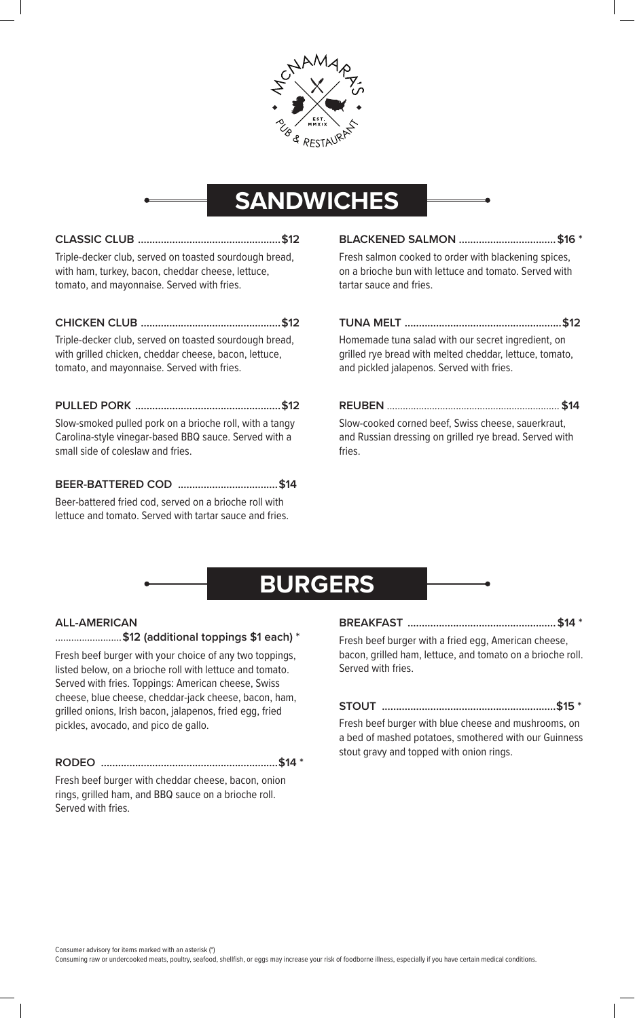

### **SANDWICHES**

| Triple-decker club, served on toasted sourdough bread, |  |
|--------------------------------------------------------|--|
| with ham, turkey, bacon, cheddar cheese, lettuce,      |  |
| tomato, and mayonnaise. Served with fries.             |  |
|                                                        |  |
| Triplo docker club convod on togetod sourdough broad   |  |

Triple-decker club, served on toasted sourdough bread, with grilled chicken, cheddar cheese, bacon, lettuce, tomato, and mayonnaise. Served with fries.

#### **PULLED PORK ...................................................\$12**

Slow-smoked pulled pork on a brioche roll, with a tangy Carolina-style vinegar-based BBQ sauce. Served with a small side of coleslaw and fries.

#### **BEER-BATTERED COD ...................................\$14**

Beer-battered fried cod, served on a brioche roll with lettuce and tomato. Served with tartar sauce and fries.

**BLACKENED SALMON ..................................\$16 \*** Fresh salmon cooked to order with blackening spices, on a brioche bun with lettuce and tomato. Served with tartar sauce and fries.

#### **TUNA MELT .......................................................\$12**

Homemade tuna salad with our secret ingredient, on grilled rye bread with melted cheddar, lettuce, tomato, and pickled jalapenos. Served with fries.

**REUBEN** ................................................................. **\$14** Slow-cooked corned beef, Swiss cheese, sauerkraut, and Russian dressing on grilled rye bread. Served with fries.

### **BURGERS**

#### **ALL-AMERICAN**

.........................**\$12 (additional toppings \$1 each) \***

Fresh beef burger with your choice of any two toppings, listed below, on a brioche roll with lettuce and tomato. Served with fries. Toppings: American cheese, Swiss cheese, blue cheese, cheddar-jack cheese, bacon, ham, grilled onions, Irish bacon, jalapenos, fried egg, fried pickles, avocado, and pico de gallo.

#### **RODEO ..............................................................\$14 \***

Fresh beef burger with cheddar cheese, bacon, onion rings, grilled ham, and BBQ sauce on a brioche roll. Served with fries.

**BREAKFAST ....................................................\$14 \***

Fresh beef burger with a fried egg, American cheese, bacon, grilled ham, lettuce, and tomato on a brioche roll. Served with fries.

**STOUT .............................................................\$15 \***

Fresh beef burger with blue cheese and mushrooms, on a bed of mashed potatoes, smothered with our Guinness stout gravy and topped with onion rings.

Consumer advisory for items marked with an asterisk (\*)

Consuming raw or undercooked meats, poultry, seafood, shellfish, or eggs may increase your risk of foodborne illness, especially if you have certain medical conditions.